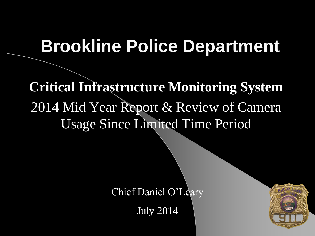#### **Brookline Police Department**

**Critical Infrastructure Monitoring System**  2014 Mid Year Report & Review of Camera Usage Since Limited Time Period

Chief Daniel O'Leary

July 2014

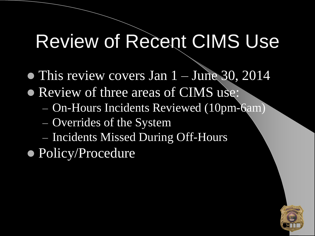### Review of Recent CIMS Use

- $\bullet$  This review covers Jan 1 June 30, 2014
- Review of three areas of CIMS use:
	- On-Hours Incidents Reviewed (10pm-6am)
	- Overrides of the System
	- Incidents Missed During Off-Hours
- Policy/Procedure

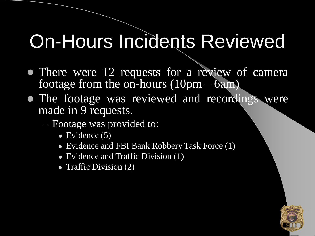## On-Hours Incidents Reviewed

- There were 12 requests for a review of camera footage from the on-hours  $(10pm - 6am)$
- The footage was reviewed and recordings were made in 9 requests.
	- Footage was provided to:
		- $\bullet$  Evidence  $(5)$
		- Evidence and FBI Bank Robbery Task Force (1)
		- Evidence and Traffic Division (1)
		- Traffic Division (2)

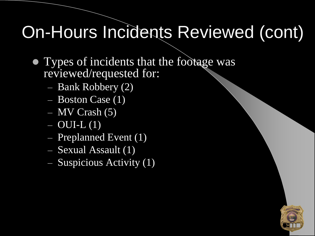#### On-Hours Incidents Reviewed (cont)

- Types of incidents that the footage was reviewed/requested for:
	- Bank Robbery (2)
	- Boston Case (1)
	- MV Crash (5)
	- $-$  OUI-L  $(1)$
	- Preplanned Event (1)
	- Sexual Assault (1)
	- Suspicious Activity (1)

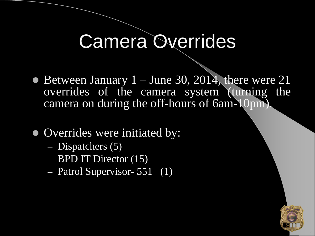## Camera Overrides

- $\bullet$  Between January 1 June 30, 2014, there were 21 overrides of the camera system (turning the camera on during the off-hours of 6am-10pm).
- Overrides were initiated by:
	- Dispatchers (5)
	- BPD IT Director (15)
	- Patrol Supervisor- 551 (1)

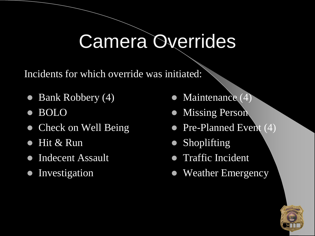## Camera Overrides

Incidents for which override was initiated:

- Bank Robbery (4)
- BOLO
- Check on Well Being
- Hit & Run
- **Indecent Assault**
- Investigation
- Maintenance (4)
- Missing Person
- Pre-Planned Event (4)
- Shoplifting
- Traffic Incident
- Weather Emergency

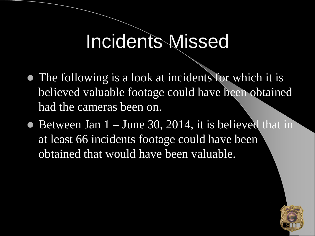### Incidents Missed

- The following is a look at incidents for which it is believed valuable footage could have been obtained had the cameras been on.
- $\bullet$  Between Jan 1 June 30, 2014, it is believed that in at least 66 incidents footage could have been obtained that would have been valuable.

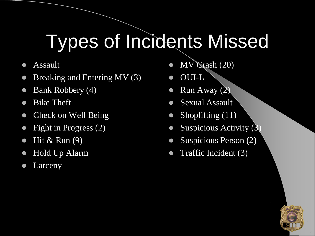# Types of Incidents Missed

- Assault
- Breaking and Entering MV (3)
- Bank Robbery (4)
- Bike Theft
- Check on Well Being
- Fight in Progress (2)
- $\bullet$  Hit & Run  $(9)$
- Hold Up Alarm
- Larceny
- MV Crash (20)
- OUI-L
- Run Away  $(2)$
- Sexual Assault
- Shoplifting  $(11)$
- Suspicious Activity  $(3)$
- Suspicious Person (2)
- Traffic Incident  $(3)$

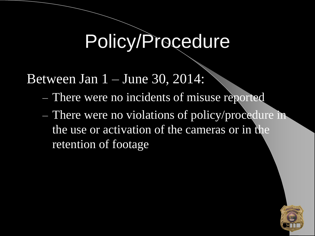## Policy/Procedure

#### Between Jan 1 – June 30, 2014:

- There were no incidents of misuse reported
- There were no violations of policy/procedure in the use or activation of the cameras or in the retention of footage